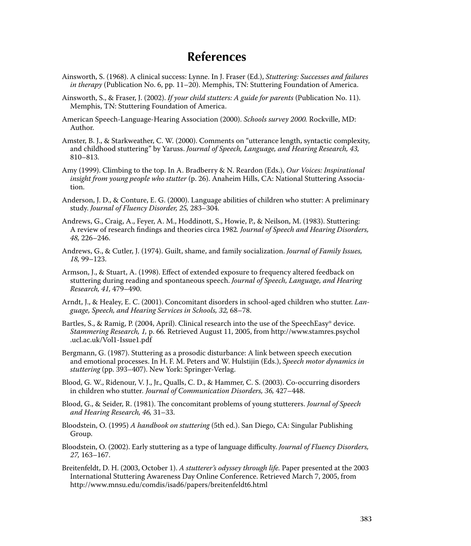## **References**

- Ainsworth, S. (1968). A clinical success: Lynne. In J. Fraser (Ed.), *Stuttering: Successes and failures in therapy* (Publication No. 6, pp. 11–20). Memphis, TN: Stuttering Foundation of America.
- Ainsworth, S., & Fraser, J. (2002). *If your child stutters: A guide for parents* (Publication No. 11). Memphis, TN: Stuttering Foundation of America.
- American Speech-Language-Hearing Association (2000). *Schools survey 2000.* Rockville, MD: Author.
- Amster, B. J., & Starkweather, C. W. (2000). Comments on "utterance length, syntactic complexity, and childhood stuttering" by Yaruss. *Journal of Speech, Language, and Hearing Research, 43,* 810–813.
- Amy (1999). Climbing to the top. In A. Bradberry & N. Reardon (Eds.), *Our Voices: Inspirational insight from young people who stutter* (p. 26). Anaheim Hills, CA: National Stuttering Association.
- Anderson, J. D., & Conture, E. G. (2000). Language abilities of children who stutter: A preliminary study. *Journal of Fluency Disorder, 25,* 283–304.
- Andrews, G., Craig, A., Feyer, A. M., Hoddinott, S., Howie, P., & Neilson, M. (1983). Stuttering: A review of research findings and theories circa 1982. *Journal of Speech and Hearing Disorders*, *48,* 226–246.
- Andrews, G., & Cutler, J. (1974). Guilt, shame, and family socialization. *Journal of Family Issues, 18,* 99–123.
- Armson, J., & Stuart, A. (1998). Effect of extended exposure to frequency altered feedback on stuttering during reading and spontaneous speech. *Journal of Speech, Language, and Hearing Research, 41,* 479–490.
- Arndt, J., & Healey, E. C. (2001). Concomitant disorders in school-aged children who stutter. *Language, Speech, and Hearing Services in Schools, 32,* 68–78.
- Bartles, S., & Ramig, P. (2004, April). Clinical research into the use of the SpeechEasy® device. *Stammering Research, 1,* p. 66*.* Retrieved August 11, 2005, from http://www.stamres.psychol .ucl.ac.uk/Vol1-Issue1.pdf
- Bergmann, G. (1987). Stuttering as a prosodic disturbance: A link between speech execution and emotional processes. In H. F. M. Peters and W. Hulstijin (Eds.), *Speech motor dynamics in stuttering* (pp. 393–407). New York: Springer-Verlag.
- Blood, G. W., Ridenour, V. J., Jr., Qualls, C. D., & Hammer, C. S. (2003). Co-occurring disorders in children who stutter*. Journal of Communication Disorders, 36,* 427–448.
- Blood, G., & Seider, R. (1981). The concomitant problems of young stutterers. *Journal of Speech and Hearing Research, 46,* 31–33.
- Bloodstein, O. (1995) *A handbook on stuttering* (5th ed.). San Diego, CA: Singular Publishing Group.
- Bloodstein, O. (2002). Early stuttering as a type of language difficulty. *Journal of Fluency Disorders*, *27,* 163–167.
- Breitenfeldt, D. H. (2003, October 1). *A stutterer's odyssey through life.* Paper presented at the 2003 International Stuttering Awareness Day Online Conference. Retrieved March 7, 2005, from http://www.mnsu.edu/comdis/isad6/papers/breitenfeldt6.html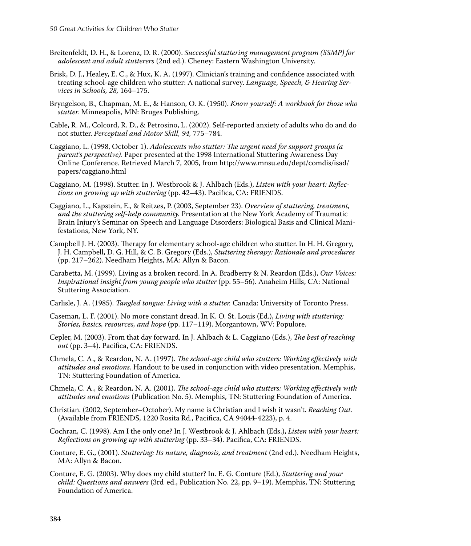- Breitenfeldt, D. H., & Lorenz, D. R. (2000). *Successful stuttering management program (SSMP) for adolescent and adult stutterers* (2nd ed.). Cheney: Eastern Washington University.
- Brisk, D. J., Healey, E. C., & Hux, K. A. (1997). Clinician's training and confidence associated with treating school-age children who stutter: A national survey. *Language, Speech, & Hearing Services in Schools, 28,* 164–175.
- Bryngelson, B., Chapman, M. E., & Hanson, O. K. (1950). *Know yourself: A workbook for those who stutter.* Minneapolis, MN: Bruges Publishing.
- Cable, R. M., Colcord, R. D., & Petrosino, L. (2002). Self-reported anxiety of adults who do and do not stutter. *Perceptual and Motor Skill, 94,* 775–784.
- Caggiano, L. (1998, October 1). *Adolescents who stutter: The urgent need for support groups (a parent's perspective).* Paper presented at the 1998 International Stuttering Awareness Day Online Conference. Retrieved March 7, 2005, from http://www.mnsu.edu/dept/comdis/isad/ papers/caggiano.html
- Caggiano, M. (1998). Stutter. In J. Westbrook & J. Ahlbach (Eds.), *Listen with your heart: Reflections on growing up with stuttering* (pp. 42–43). Pacifica, CA: FRIENDS.
- Caggiano, L., Kapstein, E., & Reitzes, P. (2003, September 23). *Overview of stuttering, treatment, and the stuttering self-help community.* Presentation at the New York Academy of Traumatic Brain Injury's Seminar on Speech and Language Disorders: Biological Basis and Clinical Manifestations, New York, NY.
- Campbell J. H. (2003). Therapy for elementary school-age children who stutter. In H. H. Gregory, J. H. Campbell, D. G. Hill, & C. B. Gregory (Eds.), *Stuttering therapy: Rationale and procedures* (pp. 217–262). Needham Heights, MA: Allyn & Bacon.
- Carabetta, M. (1999). Living as a broken record. In A. Bradberry & N. Reardon (Eds.), *Our Voices: Inspirational insight from young people who stutter* (pp. 55–56). Anaheim Hills, CA: National Stuttering Association.
- Carlisle, J. A. (1985). *Tangled tongue: Living with a stutter.* Canada: University of Toronto Press.
- Caseman, L. F. (2001). No more constant dread. In K. O. St. Louis (Ed.), *Living with stuttering: Stories, basics, resources, and hope* (pp. 117–119). Morgantown, WV: Populore.
- Cepler, M. (2003). From that day forward. In J. Ahlbach & L. Caggiano (Eds.), *The best of reaching out* (pp. 3–4). Pacifica, CA: FRIENDS.
- Chmela, C. A., & Reardon, N. A. (1997). *The school-age child who stutters: Working effectively with attitudes and emotions.* Handout to be used in conjunction with video presentation. Memphis, TN: Stuttering Foundation of America.
- Chmela, C. A., & Reardon, N. A. (2001). *The school-age child who stutters: Working effectively with attitudes and emotions* (Publication No. 5). Memphis, TN: Stuttering Foundation of America.
- Christian. (2002, September–October). My name is Christian and I wish it wasn't. *Reaching Out.* (Available from FRIENDS, 1220 Rosita Rd., Pacifica, CA 94044-4223), p. 4.
- Cochran, C. (1998). Am I the only one? In J. Westbrook & J. Ahlbach (Eds.), *Listen with your heart: Reflections on growing up with stuttering* (pp. 33–34). Pacifica, CA: FRIENDS.
- Conture, E. G., (2001). *Stuttering: Its nature, diagnosis, and treatment* (2nd ed.). Needham Heights, MA: Allyn & Bacon.
- Conture, E. G. (2003). Why does my child stutter? In. E. G. Conture (Ed.), *Stuttering and your child: Questions and answers* (3rd ed., Publication No. 22, pp. 9–19). Memphis, TN: Stuttering Foundation of America.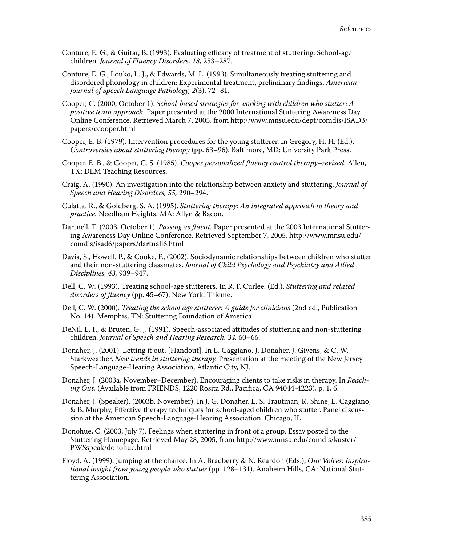- Conture, E. G., & Guitar, B. (1993). Evaluating efficacy of treatment of stuttering: School-age children. *Journal of Fluency Disorders, 18,* 253–287.
- Conture, E. G., Louko, L. J., & Edwards, M. L. (1993). Simultaneously treating stuttering and disordered phonology in children: Experimental treatment, preliminary findings. *American Journal of Speech Language Pathology, 2*(3), 72–81.
- Cooper, C. (2000, October 1). *School-based strategies for working with children who stutter: A positive team approach.* Paper presented at the 2000 International Stuttering Awareness Day Online Conference. Retrieved March 7, 2005, from http://www.mnsu.edu/dept/comdis/ISAD3/ papers/ccooper.html
- Cooper, E. B. (1979). Intervention procedures for the young stutterer. In Gregory, H. H. (Ed.), *Controversies about stuttering therapy* (pp. 63–96). Baltimore, MD: University Park Press.
- Cooper, E. B., & Cooper, C. S. (1985). *Cooper personalized fl uency control therapy–revised.* Allen, TX: DLM Teaching Resources.
- Craig, A. (1990). An investigation into the relationship between anxiety and stuttering. *Journal of Speech and Hearing Disorders, 55,* 290–294.
- Culatta, R., & Goldberg, S. A. (1995). *Stuttering therapy: An integrated approach to theory and practice.* Needham Heights, MA: Allyn & Bacon.
- Dartnell, T. (2003, October 1). *Passing as fluent*. Paper presented at the 2003 International Stuttering Awareness Day Online Conference. Retrieved September 7, 2005, http://www.mnsu.edu/ comdis/isad6/papers/dartnall6.html
- Davis, S., Howell, P., & Cooke, F., (2002). Sociodynamic relationships between children who stutter and their non-stuttering classmates. *Journal of Child Psychology and Psychiatry and Allied Disciplines, 43,* 939–947.
- Dell, C. W. (1993). Treating school-age stutterers. In R. F. Curlee. (Ed.), *Stuttering and related*  disorders of fluency (pp. 45–67). New York: Thieme.
- Dell, C. W. (2000). *Treating the school age stutterer: A guide for clinicians* (2nd ed., Publication No. 14). Memphis, TN: Stuttering Foundation of America.
- DeNil, L. F., & Bruten, G. J. (1991). Speech-associated attitudes of stuttering and non-stuttering children. *Journal of Speech and Hearing Research, 34,* 60–66.
- Donaher, J. (2001). Letting it out. [Handout]. In L. Caggiano, J. Donaher, J. Givens, & C. W. Starkweather, *New trends in stuttering therapy.* Presentation at the meeting of the New Jersey Speech-Language-Hearing Association, Atlantic City, NJ.
- Donaher, J. (2003a, November–December). Encouraging clients to take risks in therapy. In *Reaching Out.* (Available from FRIENDS, 1220 Rosita Rd., Pacifica, CA 94044-4223), p. 1, 6.
- Donaher, J. (Speaker). (2003b, November). In J. G. Donaher, L. S. Trautman, R. Shine, L. Caggiano, & B. Murphy, Effective therapy techniques for school-aged children who stutter. Panel discussion at the American Speech-Language-Hearing Association. Chicago, IL.
- Donohue, C. (2003, July 7). Feelings when stuttering in front of a group. Essay posted to the Stuttering Homepage. Retrieved May 28, 2005, from http://www.mnsu.edu/comdis/kuster/ PWSspeak/donohue.html
- Floyd, A. (1999). Jumping at the chance. In A. Bradberry & N. Reardon (Eds.), *Our Voices: Inspirational insight from young people who stutter* (pp. 128–131). Anaheim Hills, CA: National Stuttering Association.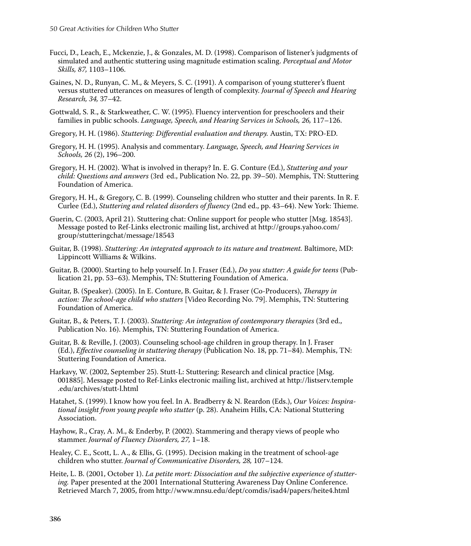- Fucci, D., Leach, E., Mckenzie, J., & Gonzales, M. D. (1998). Comparison of listener's judgments of simulated and authentic stuttering using magnitude estimation scaling. *Perceptual and Motor Skills, 87,* 1103–1106.
- Gaines, N. D., Runyan, C. M., & Meyers, S. C. (1991). A comparison of young stutterer's fluent versus stuttered utterances on measures of length of complexity. *Journal of Speech and Hearing Research, 34,* 37–42.
- Gottwald, S. R., & Starkweather, C. W. (1995). Fluency intervention for preschoolers and their families in public schools. *Language, Speech, and Hearing Services in Schools, 26, 117–126.*
- Gregory, H. H. (1986). *Stuttering: Differential evaluation and therapy*. Austin, TX: PRO-ED.
- Gregory, H. H. (1995). Analysis and commentary. *Language, Speech, and Hearing Services in Schools, 26* (2), 196–200.
- Gregory, H. H. (2002). What is involved in therapy? In. E. G. Conture (Ed.), *Stuttering and your child: Questions and answers* (3rd ed., Publication No. 22, pp. 39–50). Memphis, TN: Stuttering Foundation of America.
- Gregory, H. H., & Gregory, C. B. (1999). Counseling children who stutter and their parents. In R. F. Curlee (Ed.), *Stuttering and related disorders of fluency* (2nd ed., pp. 43–64). New York: Thieme.
- Guerin, C. (2003, April 21). Stuttering chat: Online support for people who stutter [Msg. 18543]. Message posted to Ref-Links electronic mailing list, archived at http://groups.yahoo.com/ group/stutteringchat/message/18543
- Guitar, B. (1998). *Stuttering: An integrated approach to its nature and treatment.* Baltimore, MD: Lippincott Williams & Wilkins.
- Guitar, B. (2000). Starting to help yourself. In J. Fraser (Ed.), *Do you stutter: A guide for teens* (Publication 21, pp. 53–63). Memphis, TN: Stuttering Foundation of America.
- Guitar, B. (Speaker). (2005). In E. Conture, B. Guitar, & J. Fraser (Co-Producers), *Therapy in* action: The school-age child who stutters [Video Recording No. 79]. Memphis, TN: Stuttering Foundation of America.
- Guitar, B., & Peters, T. J. (2003). *Stuttering: An integration of contemporary therapies* (3rd ed., Publication No. 16). Memphis, TN: Stuttering Foundation of America.
- Guitar, B. & Reville, J. (2003). Counseling school-age children in group therapy. In J. Fraser (Ed.), *Effective counseling in stuttering therapy* (Publication No. 18, pp. 71–84). Memphis, TN: Stuttering Foundation of America.
- Harkavy, W. (2002, September 25). Stutt-L: Stuttering: Research and clinical practice [Msg. 001885]. Message posted to Ref-Links electronic mailing list, archived at http://listserv.temple .edu/archives/stutt-l.html
- Hatahet, S. (1999). I know how you feel. In A. Bradberry & N. Reardon (Eds.), *Our Voices: Inspirational insight from young people who stutter* (p. 28). Anaheim Hills, CA: National Stuttering Association.
- Hayhow, R., Cray, A. M., & Enderby, P. (2002). Stammering and therapy views of people who stammer. *Journal of Fluency Disorders, 27,* 1–18.
- Healey, C. E., Scott, L. A., & Ellis, G. (1995). Decision making in the treatment of school-age children who stutter. *Journal of Communicative Disorders, 28,* 107–124.
- Heite, L. B. (2001, October 1). *La petite mort: Dissociation and the subjective experience of stuttering.* Paper presented at the 2001 International Stuttering Awareness Day Online Conference. Retrieved March 7, 2005, from http://www.mnsu.edu/dept/comdis/isad4/papers/heite4.html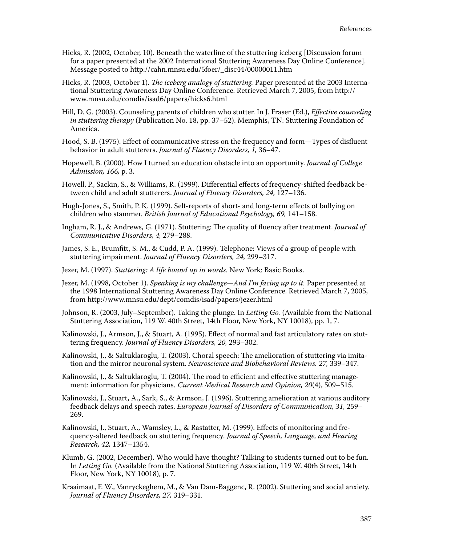- Hicks, R. (2002, October, 10). Beneath the waterline of the stuttering iceberg [Discussion forum for a paper presented at the 2002 International Stuttering Awareness Day Online Conference]. Message posted to http://cahn.mnsu.edu/5foer/\_disc44/00000011.htm
- Hicks, R. (2003, October 1). *The iceberg analogy of stuttering*. Paper presented at the 2003 International Stuttering Awareness Day Online Conference. Retrieved March 7, 2005, from http:// www.mnsu.edu/comdis/isad6/papers/hicks6.html
- Hill, D. G. (2003). Counseling parents of children who stutter. In J. Fraser (Ed.), *Effective counseling in stuttering therapy* (Publication No. 18, pp. 37–52). Memphis, TN: Stuttering Foundation of America.
- Hood, S. B. (1975). Effect of communicative stress on the frequency and form—Types of disfluent behavior in adult stutterers. *Journal of Fluency Disorders, 1,* 36–47.
- Hopewell, B. (2000). How I turned an education obstacle into an opportunity. *Journal of College Admission, 166,* p. 3.
- Howell, P., Sackin, S., & Williams, R. (1999). Differential effects of frequency-shifted feedback between child and adult stutterers. *Journal of Fluency Disorders, 24,* 127–136.
- Hugh-Jones, S., Smith, P. K. (1999). Self-reports of short- and long-term effects of bullying on children who stammer. *British Journal of Educational Psychology, 69,* 141–158.
- Ingham, R. J., & Andrews, G. (1971). Stuttering: The quality of fluency after treatment. *Journal of Communicative Disorders, 4,* 279–288.
- James, S. E., Brumfitt, S. M., & Cudd, P. A. (1999). Telephone: Views of a group of people with stuttering impairment. *Journal of Fluency Disorders, 24,* 299–317.
- Jezer, M. (1997). *Stuttering: A life bound up in words*. New York: Basic Books.
- Jezer, M. (1998, October 1). *Speaking is my challenge—And I'm facing up to it.* Paper presented at the 1998 International Stuttering Awareness Day Online Conference. Retrieved March 7, 2005, from http://www.mnsu.edu/dept/comdis/isad/papers/jezer.html
- Johnson, R. (2003, July–September). Taking the plunge. In *Letting Go.* (Available from the National Stuttering Association, 119 W. 40th Street, 14th Floor, New York, NY 10018), pp. 1, 7.
- Kalinowski, J., Armson, J., & Stuart, A. (1995). Effect of normal and fast articulatory rates on stuttering frequency. *Journal of Fluency Disorders, 20,* 293–302.
- Kalinowski, J., & Saltuklaroglu, T. (2003). Choral speech: The amelioration of stuttering via imitation and the mirror neuronal system. *Neuroscience and Biobehavioral Reviews. 27,* 339–347.
- Kalinowski, J., & Saltuklaroglu, T. (2004). The road to efficient and effective stuttering management: information for physicians. *Current Medical Research and Opinion, 20*(4), 509–515.
- Kalinowski, J., Stuart, A., Sark, S., & Armson, J. (1996). Stuttering amelioration at various auditory feedback delays and speech rates. *European Journal of Disorders of Communication, 31,* 259– 269.
- Kalinowski, J., Stuart, A., Wamsley, L., & Rastatter, M. (1999). Effects of monitoring and frequency-altered feedback on stuttering frequency*. Journal of Speech, Language, and Hearing Research, 42,* 1347–1354.
- Klumb, G. (2002, December). Who would have thought? Talking to students turned out to be fun. In *Letting Go.* (Available from the National Stuttering Association, 119 W. 40th Street, 14th Floor, New York, NY 10018), p. 7.
- Kraaimaat, F. W., Vanryckeghem, M., & Van Dam-Baggenc, R. (2002). Stuttering and social anxiety. *Journal of Fluency Disorders, 27,* 319–331.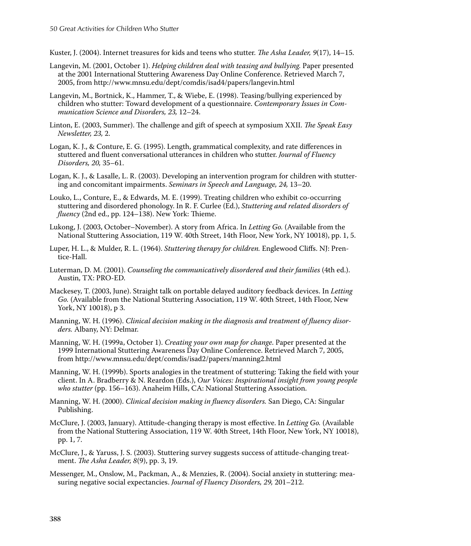Kuster, J. (2004). Internet treasures for kids and teens who stutter. *The Asha Leader*, 9(17), 14–15.

- Langevin, M. (2001, October 1). *Helping children deal with teasing and bullying.* Paper presented at the 2001 International Stuttering Awareness Day Online Conference. Retrieved March 7, 2005, from http://www.mnsu.edu/dept/comdis/isad4/papers/langevin.html
- Langevin, M., Bortnick, K., Hammer, T., & Wiebe, E. (1998). Teasing/bullying experienced by children who stutter: Toward development of a questionnaire. *Contemporary Issues in Communication Science and Disorders, 23,* 12–24.
- Linton, E. (2003, Summer). The challenge and gift of speech at symposium XXII. *The Speak Easy Newsletter, 23,* 2.
- Logan, K. J., & Conture, E. G. (1995). Length, grammatical complexity, and rate differences in stuttered and fluent conversational utterances in children who stutter. *Journal of Fluency Disorders, 20,* 35–61.
- Logan, K. J., & Lasalle, L. R. (2003). Developing an intervention program for children with stuttering and concomitant impairments. *Seminars in Speech and Language, 24,* 13–20.
- Louko, L., Conture, E., & Edwards, M. E. (1999). Treating children who exhibit co-occurring stuttering and disordered phonology. In R. F. Curlee (Ed.), *Stuttering and related disorders of fluency* (2nd ed., pp. 124–138). New York: Thieme.
- Lukong, J. (2003, October–November). A story from Africa. In *Letting Go.* (Available from the National Stuttering Association, 119 W. 40th Street, 14th Floor, New York, NY 10018), pp. 1, 5.
- Luper, H. L., & Mulder, R. L. (1964). *Stuttering therapy for children*. Englewood Cliffs. NJ: Prentice-Hall.
- Luterman, D. M. (2001). *Counseling the communicatively disordered and their families* (4th ed.). Austin, TX: PRO-ED.
- Mackesey, T. (2003, June). Straight talk on portable delayed auditory feedback devices. In *Letting Go.* (Available from the National Stuttering Association, 119 W. 40th Street, 14th Floor, New York, NY 10018), p 3.
- Manning, W. H. (1996). *Clinical decision making in the diagnosis and treatment of fluency disorders.* Albany, NY: Delmar.
- Manning, W. H. (1999a, October 1). *Creating your own map for change*. Paper presented at the 1999 International Stuttering Awareness Day Online Conference. Retrieved March 7, 2005, from http://www.mnsu.edu/dept/comdis/isad2/papers/manning2.html
- Manning, W. H. (1999b). Sports analogies in the treatment of stuttering: Taking the field with your client. In A. Bradberry & N. Reardon (Eds.), *Our Voices: Inspirational insight from young people who stutter* (pp. 156–163). Anaheim Hills, CA: National Stuttering Association.
- Manning, W. H. (2000). *Clinical decision making in fl uency disorders.* San Diego, CA: Singular Publishing.
- McClure, J. (2003, January). Attitude-changing therapy is most effective. In *Letting Go.* (Available from the National Stuttering Association, 119 W. 40th Street, 14th Floor, New York, NY 10018), pp. 1, 7.
- McClure, J., & Yaruss, J. S. (2003). Stuttering survey suggests success of attitude-changing treatment. *The Asha Leader*, 8(9), pp. 3, 19.
- Messenger, M., Onslow, M., Packman, A., & Menzies, R. (2004). Social anxiety in stuttering: measuring negative social expectancies. *Journal of Fluency Disorders, 29,* 201–212.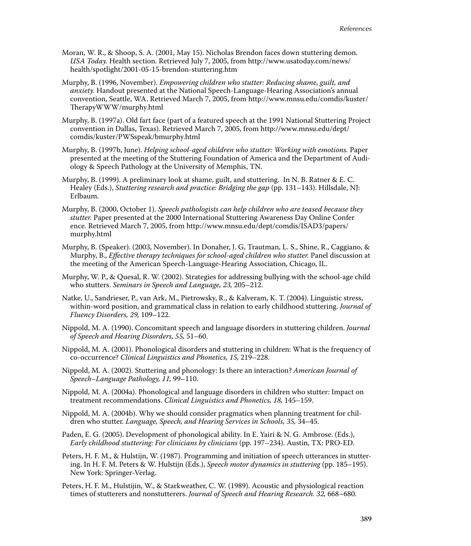- Moran, W. R., & Shoop, S. A. (2001, May 15). Nicholas Brendon faces down stuttering demon. *USA Today.* Health section. Retrieved July 7, 2005, from http://www.usatoday.com/news/ health/spotlight/2001-05-15-brendon-stuttering.htm
- Murphy, B. (1996, November). *Empowering children who stutter: Reducing shame, guilt, and anxiety.* Handout presented at the National Speech-Language-Hearing Association's annual convention, Seattle, WA. Retrieved March 7, 2005, from http://www.mnsu.edu/comdis/kuster/ TherapyWWW/murphy.html
- Murphy, B. (1997a). Old fart face (part of a featured speech at the 1991 National Stuttering Project convention in Dallas, Texas). Retrieved March 7, 2005, from http://www.mnsu.edu/dept/ comdis/kuster/PWSspeak/bmurphy.html
- Murphy, B. (1997b, June). *Helping school-aged children who stutter: Working with emotions.* Paper presented at the meeting of the Stuttering Foundation of America and the Department of Audiology & Speech Pathology at the University of Memphis, TN.
- Murphy, B. (1999). A preliminary look at shame, guilt, and stuttering. In N. B. Ratner & E. C. Healey (Eds.), *Stuttering research and practice: Bridging the gap* (pp. 131–143). Hillsdale, NJ: Erlbaum.
- Murphy, B. (2000, October 1). *Speech pathologists can help children who are teased because they stutter.* Paper presented at the 2000 International Stuttering Awareness Day Online Confer ence. Retrieved March 7, 2005, from http://www.mnsu.edu/dept/comdis/ISAD3/papers/ murphy.html
- Murphy, B. (Speaker). (2003, November). In Donaher, J. G, Trautman, L. S., Shine, R., Caggiano, & Murphy, B., *Effective therapy techniques for school-aged children who stutter*. Panel discussion at the meeting of the American Speech-Language-Hearing Association, Chicago, IL.
- Murphy, W. P., & Quesal, R. W. (2002). Strategies for addressing bullying with the school-age child who stutters. *Seminars in Speech and Language, 23,* 205–212.
- Natke, U., Sandrieser, P., van Ark, M., Pietrowsky, R., & Kalveram, K. T. (2004). Linguistic stress, within-word position, and grammatical class in relation to early childhood stuttering. *Journal of Fluency Disorders, 29,* 109–122.
- Nippold, M. A. (1990). Concomitant speech and language disorders in stuttering children. *Journal of Speech and Hearing Disorders, 55,* 51–60.
- Nippold, M. A. (2001). Phonological disorders and stuttering in children: What is the frequency of co-occurrence? *Clinical Linguistics and Phonetics, 15,* 219–228.
- Nippold, M. A. (2002). Stuttering and phonology: Is there an interaction? *American Journal of Speech–Language Pathology, 11,* 99–110.
- Nippold, M. A. (2004a). Phonological and language disorders in children who stutter: Impact on treatment recommendations. *Clinical Linguistics and Phonetics, 18,* 145–159.
- Nippold, M. A. (2004b). Why we should consider pragmatics when planning treatment for children who stutter. *Language, Speech, and Hearing Services in Schools, 35,* 34–45.
- Paden, E. G. (2005). Development of phonological ability. In E. Yairi & N. G. Ambrose. (Eds.), *Early childhood stuttering: For clinicians by clinicians* (pp. 197–234). Austin, TX: PRO-ED.
- Peters, H. F. M., & Hulstijn, W. (1987). Programming and initiation of speech utterances in stuttering. In H. F. M. Peters & W. Hulstijn (Eds.), *Speech motor dynamics in stuttering* (pp. 185–195). New York: Springer-Verlag.
- Peters, H. F. M., Hulstijin, W., & Starkweather, C. W. (1989). Acoustic and physiological reaction times of stutterers and nonstutterers. *Journal of Speech and Hearing Research. 32,* 668–680.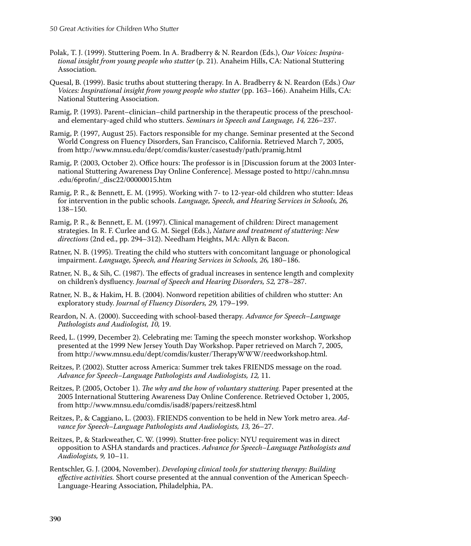- Polak, T. J. (1999). Stuttering Poem. In A. Bradberry & N. Reardon (Eds.), *Our Voices: Inspirational insight from young people who stutter* (p. 21). Anaheim Hills, CA: National Stuttering Association.
- Quesal, B. (1999). Basic truths about stuttering therapy. In A. Bradberry & N. Reardon (Eds.) *Our Voices: Inspirational insight from young people who stutter* (pp. 163–166). Anaheim Hills, CA: National Stuttering Association.
- Ramig, P. (1993). Parent–clinician–child partnership in the therapeutic process of the preschooland elementary-aged child who stutters. *Seminars in Speech and Language, 14,* 226–237.
- Ramig, P. (1997, August 25). Factors responsible for my change. Seminar presented at the Second World Congress on Fluency Disorders, San Francisco, California. Retrieved March 7, 2005, from http://www.mnsu.edu/dept/comdis/kuster/casestudy/path/pramig.html
- Ramig, P. (2003, October 2). Office hours: The professor is in [Discussion forum at the 2003 International Stuttering Awareness Day Online Conference]. Message posted to http://cahn.mnsu .edu/6profin/\_disc22/00000015.htm
- Ramig, P. R., & Bennett, E. M. (1995). Working with 7- to 12-year-old children who stutter: Ideas for intervention in the public schools. *Language, Speech, and Hearing Services in Schools, 26,* 138–150.
- Ramig, P. R., & Bennett, E. M. (1997). Clinical management of children: Direct management strategies. In R. F. Curlee and G. M. Siegel (Eds.), *Nature and treatment of stuttering: New directions* (2nd ed., pp. 294–312). Needham Heights, MA: Allyn & Bacon.
- Ratner, N. B. (1995). Treating the child who stutters with concomitant language or phonological impairment. *Language, Speech, and Hearing Services in Schools, 26,* 180–186.
- Ratner, N. B., & Sih, C. (1987). The effects of gradual increases in sentence length and complexity on children's dysfl uency. *Journal of Speech and Hearing Disorders, 52,* 278–287.
- Ratner, N. B., & Hakim, H. B. (2004). Nonword repetition abilities of children who stutter: An exploratory study. *Journal of Fluency Disorders, 29,* 179–199.
- Reardon, N. A. (2000). Succeeding with school-based therapy. *Advance for Speech–Language Pathologists and Audiologist, 10,* 19.
- Reed, L. (1999, December 2). Celebrating me: Taming the speech monster workshop. Workshop presented at the 1999 New Jersey Youth Day Workshop. Paper retrieved on March 7, 2005, from http://www.mnsu.edu/dept/comdis/kuster/TherapyWWW/reedworkshop.html.
- Reitzes, P. (2002). Stutter across America: Summer trek takes FRIENDS message on the road. *Advance for Speech–Language Pathologists and Audiologists, 12,* 11.
- Reitzes, P. (2005, October 1). *The why and the how of voluntary stuttering*. Paper presented at the 2005 International Stuttering Awareness Day Online Conference. Retrieved October 1, 2005, from http://www.mnsu.edu/comdis/isad8/papers/reitzes8.html
- Reitzes, P., & Caggiano, L. (2003). FRIENDS convention to be held in New York metro area. *Advance for Speech–Language Pathologists and Audiologists, 13,* 26–27.
- Reitzes, P., & Starkweather, C. W. (1999). Stutter-free policy: NYU requirement was in direct opposition to ASHA standards and practices. *Advance for Speech–Language Pathologists and Audiologists, 9,* 10–11.
- Rentschler, G. J. (2004, November). *Developing clinical tools for stuttering therapy: Building effective activities.* Short course presented at the annual convention of the American Speech-Language-Hearing Association, Philadelphia, PA.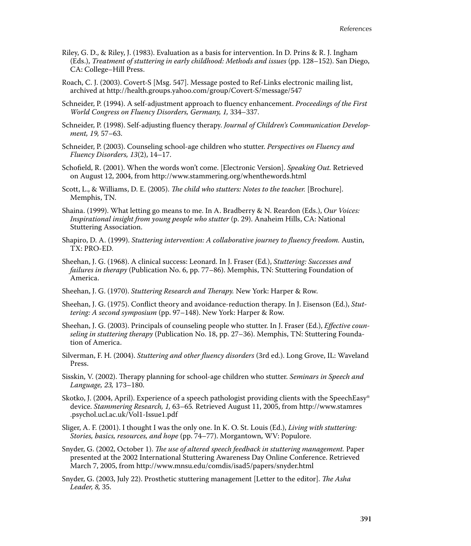- Riley, G. D., & Riley, J. (1983). Evaluation as a basis for intervention. In D. Prins & R. J. Ingham (Eds.), *Treatment of stuttering in early childhood: Methods and issues* (pp. 128–152). San Diego, CA: College–Hill Press.
- Roach, C. J. (2003). Covert-S [Msg. 547]. Message posted to Ref-Links electronic mailing list, archived at http://health.groups.yahoo.com/group/Covert-S/message/547
- Schneider, P. (1994). A self-adjustment approach to fluency enhancement. *Proceedings of the First World Congress on Fluency Disorders, Germany, 1,* 334–337.
- Schneider, P. (1998). Self-adjusting fluency therapy. *Journal of Children's Communication Development, 19,* 57–63.
- Schneider, P. (2003). Counseling school-age children who stutter. *Perspectives on Fluency and Fluency Disorders, 13*(2), 14–17.
- Schofield, R. (2001). When the words won't come. [Electronic Version]. *Speaking Out.* Retrieved on August 12, 2004, from http://www.stammering.org/whenthewords.html
- Scott, L., & Williams, D. E. (2005). *The child who stutters: Notes to the teacher*. [Brochure]. Memphis, TN.
- Shaina. (1999). What letting go means to me. In A. Bradberry & N. Reardon (Eds.), *Our Voices: Inspirational insight from young people who stutter* (p. 29). Anaheim Hills, CA: National Stuttering Association.
- Shapiro, D. A. (1999). *Stuttering intervention: A collaborative journey to fluency freedom.* Austin, TX: PRO-ED.
- Sheehan, J. G. (1968). A clinical success: Leonard. In J. Fraser (Ed*.*), *Stuttering: Successes and failures in therapy* (Publication No. 6, pp. 77–86). Memphis, TN: Stuttering Foundation of America.
- Sheehan, J. G. (1970). *Stuttering Research and Therapy*. New York: Harper & Row.
- Sheehan, J. G. (1975). Conflict theory and avoidance-reduction therapy. In J. Eisenson (Ed.), *Stuttering: A second symposium* (pp. 97–148). New York: Harper & Row.
- Sheehan, J. G. (2003). Principals of counseling people who stutter. In J. Fraser (Ed.), *Effective counseling in stuttering therapy* (Publication No. 18, pp. 27–36). Memphis, TN: Stuttering Foundation of America.
- Silverman, F. H. (2004). *Stuttering and other fluency disorders* (3rd ed.). Long Grove, IL: Waveland Press.
- Sisskin, V. (2002). Therapy planning for school-age children who stutter. *Seminars in Speech and Language, 23,* 173–180.
- Skotko, J. (2004, April). Experience of a speech pathologist providing clients with the SpeechEasy® device. *Stammering Research, 1,* 63–65*.* Retrieved August 11, 2005, from http://www.stamres .psychol.ucl.ac.uk/Vol1-Issue1.pdf
- Sliger, A. F. (2001). I thought I was the only one. In K. O. St. Louis (Ed.), *Living with stuttering: Stories, basics, resources, and hope* (pp. 74–77). Morgantown, WV: Populore.
- Snyder, G. (2002, October 1). *The use of altered speech feedback in stuttering management*. Paper presented at the 2002 International Stuttering Awareness Day Online Conference. Retrieved March 7, 2005, from http://www.mnsu.edu/comdis/isad5/papers/snyder.html
- Snyder, G. (2003, July 22). Prosthetic stuttering management [Letter to the editor]. *The Asha Leader, 8,* 35.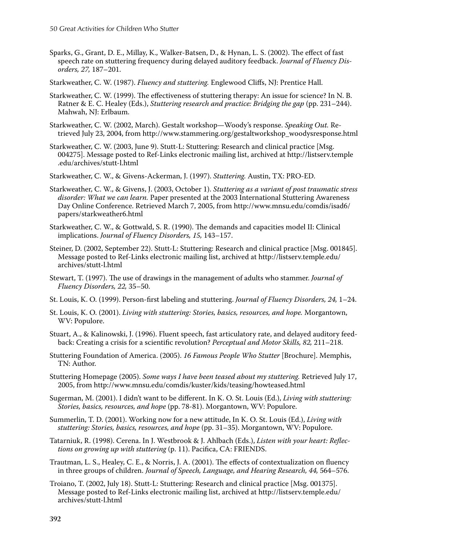- Sparks, G., Grant, D. E., Millay, K., Walker-Batsen, D., & Hynan, L. S. (2002). The effect of fast speech rate on stuttering frequency during delayed auditory feedback. *Journal of Fluency Disorders, 27,* 187–201.
- Starkweather, C. W. (1987). *Fluency and stuttering*. Englewood Cliffs, NJ: Prentice Hall.
- Starkweather, C. W. (1999). The effectiveness of stuttering therapy: An issue for science? In N. B. Ratner & E. C. Healey (Eds.), *Stuttering research and practice: Bridging the gap* (pp. 231–244). Mahwah, NJ: Erlbaum.
- Starkweather, C. W. (2002, March). Gestalt workshop—Woody's response. *Speaking Out.* Retrieved July 23, 2004, from http://www.stammering.org/gestaltworkshop\_woodysresponse.html
- Starkweather, C. W. (2003, June 9). Stutt-L: Stuttering: Research and clinical practice [Msg. 004275]. Message posted to Ref-Links electronic mailing list, archived at http://listserv.temple .edu/archives/stutt-l.html
- Starkweather, C. W., & Givens-Ackerman, J. (1997). *Stuttering.* Austin, TX: PRO-ED.
- Starkweather, C. W., & Givens, J. (2003, October 1). *Stuttering as a variant of post traumatic stress disorder: What we can learn.* Paper presented at the 2003 International Stuttering Awareness Day Online Conference. Retrieved March 7, 2005, from http://www.mnsu.edu/comdis/isad6/ papers/starkweather6.html
- Starkweather, C. W., & Gottwald, S. R. (1990). The demands and capacities model II: Clinical implications. *Journal of Fluency Disorders, 15,* 143–157.
- Steiner, D. (2002, September 22). Stutt-L: Stuttering: Research and clinical practice [Msg. 001845]. Message posted to Ref-Links electronic mailing list, archived at http://listserv.temple.edu/ archives/stutt-l.html
- Stewart, T. (1997). The use of drawings in the management of adults who stammer. *Journal of Fluency Disorders, 22,* 35–50.
- St. Louis, K. O. (1999). Person-first labeling and stuttering. *Journal of Fluency Disorders*, 24, 1–24.
- St. Louis, K. O. (2001). *Living with stuttering: Stories, basics, resources, and hope.* Morgantown, WV: Populore.
- Stuart, A., & Kalinowski, J. (1996). Fluent speech, fast articulatory rate, and delayed auditory feedback: Creating a crisis for a scientific revolution? *Perceptual and Motor Skills, 82, 211–218*.
- Stuttering Foundation of America. (2005). *16 Famous People Who Stutter* [Brochure]. Memphis, TN: Author.
- Stuttering Homepage (2005). *Some ways I have been teased about my stuttering.* Retrieved July 17, 2005, from http://www.mnsu.edu/comdis/kuster/kids/teasing/howteased.html
- Sugerman, M. (2001). I didn't want to be different. In K. O. St. Louis (Ed.), *Living with stuttering: Stories, basics, resources, and hope* (pp. 78-81). Morgantown, WV: Populore.
- Summerlin, T. D. (2001). Working now for a new attitude, In K. O. St. Louis (Ed.), *Living with stuttering: Stories, basics, resources, and hope* (pp. 31–35). Morgantown, WV: Populore.
- Tatarniuk, R. (1998). Cerena. In J. Westbrook & J. Ahlbach (Eds.), *Listen with your heart: Refl ections on growing up with stuttering* (p. 11). Pacifica, CA: FRIENDS.
- Trautman, L. S., Healey, C. E., & Norris, J. A. (2001). The effects of contextualization on fluency in three groups of children. *Journal of Speech, Language, and Hearing Research, 44,* 564–576.
- Troiano, T. (2002, July 18). Stutt-L: Stuttering: Research and clinical practice [Msg. 001375]. Message posted to Ref-Links electronic mailing list, archived at http://listserv.temple.edu/ archives/stutt-l.html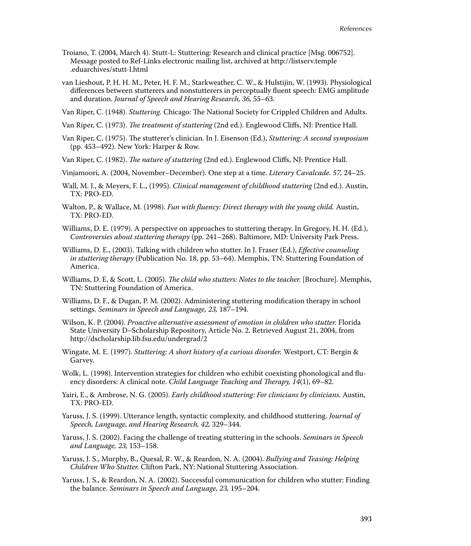- Troiano, T. (2004, March 4). Stutt-L: Stuttering: Research and clinical practice [Msg. 006752]. Message posted to Ref-Links electronic mailing list, archived at http://listserv.temple .eduarchives/stutt-l.html
- van Lieshout, P. H. H. M., Peter, H. F. M., Starkweather, C. W., & Hulstijin, W. (1993). Physiological differences between stutterers and nonstutterers in perceptually fluent speech: EMG amplitude and duration. *Journal of Speech and Hearing Research, 36,* 55–63.
- Van Riper, C. (1948). *Stuttering*. Chicago: The National Society for Crippled Children and Adults.
- Van Riper, C. (1973). *The treatment of stuttering* (2nd ed.). Englewood Cliffs, NJ: Prentice Hall.
- Van Riper, C. (1975). The stutterer's clinician. In J. Eisenson (Ed.), *Stuttering: A second symposium* (pp. 453–492). New York: Harper & Row.
- Van Riper, C. (1982). *The nature of stuttering* (2nd ed.). Englewood Cliffs, NJ: Prentice Hall.
- Vinjamoori, A. (2004, November–December). One step at a time. *Literary Cavalcade. 57,* 24–25.
- Wall, M. J., & Meyers, F. L., (1995). *Clinical management of childhood stuttering* (2nd ed.). Austin, TX: PRO-ED.
- Walton, P., & Wallace, M. (1998). *Fun with fluency: Direct therapy with the young child.* Austin, TX: PRO-ED.
- Williams, D. E. (1979). A perspective on approaches to stuttering therapy. In Gregory, H. H. (Ed.), *Controversies about stuttering therapy* (pp. 241–268). Baltimore, MD: University Park Press.
- Williams, D. E., (2003). Talking with children who stutter. In J. Fraser (Ed.), *Effective counseling in stuttering therapy* (Publication No. 18, pp. 53–64). Memphis, TN: Stuttering Foundation of America.
- Williams, D. E, & Scott, L. (2005). *The child who stutters: Notes to the teacher.* [Brochure]. Memphis, TN: Stuttering Foundation of America.
- Williams, D. F., & Dugan, P. M. (2002). Administering stuttering modification therapy in school settings. *Seminars in Speech and Language, 23,* 187–194.
- Wilson, K. P. (2004). *Proactive alternative assessment of emotion in children who stutter.* Florida State University D–Scholarship Repository, Article No. 2. Retrieved August 21, 2004, from http://dscholarship.lib.fsu.edu/undergrad/2
- Wingate, M. E. (1997). *Stuttering: A short history of a curious disorder.* Westport, CT: Bergin & Garvey.
- Wolk, L. (1998). Intervention strategies for children who exhibit coexisting phonological and fluency disorders: A clinical note. *Child Language Teaching and Th erapy, 14*(1), 69–82.
- Yairi, E., & Ambrose, N. G. (2005). *Early childhood stuttering: For clinicians by clinicians.* Austin, TX: PRO-ED.
- Yaruss, J. S. (1999). Utterance length, syntactic complexity, and childhood stuttering. *Journal of Speech, Language, and Hearing Research, 42,* 329–344.
- Yaruss, J. S. (2002). Facing the challenge of treating stuttering in the schools. *Seminars in Speech and Language, 23,* 153–158.
- Yaruss, J. S., Murphy, B., Quesal, R. W., & Reardon, N. A. (2004). *Bullying and Teasing: Helping Children Who Stutter.* Clifton Park, NY: National Stuttering Association.
- Yaruss, J. S., & Reardon, N. A. (2002). Successful communication for children who stutter: Finding the balance. *Seminars in Speech and Language, 23,* 195–204.